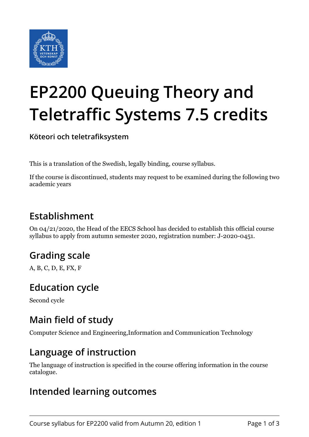

# **EP2200 Queuing Theory and Teletraffic Systems 7.5 credits**

**Köteori och teletrafiksystem**

This is a translation of the Swedish, legally binding, course syllabus.

If the course is discontinued, students may request to be examined during the following two academic years

#### **Establishment**

On 04/21/2020, the Head of the EECS School has decided to establish this official course syllabus to apply from autumn semester 2020, registration number: J-2020-0451.

## **Grading scale**

A, B, C, D, E, FX, F

#### **Education cycle**

Second cycle

## **Main field of study**

Computer Science and Engineering,Information and Communication Technology

#### **Language of instruction**

The language of instruction is specified in the course offering information in the course catalogue.

#### **Intended learning outcomes**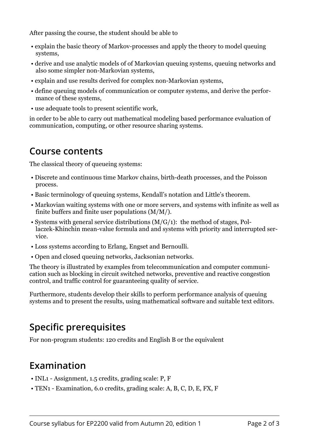After passing the course, the student should be able to

- explain the basic theory of Markov-processes and apply the theory to model queuing systems,
- derive and use analytic models of of Markovian queuing systems, queuing networks and also some simpler non-Markovian systems,
- explain and use results derived for complex non-Markovian systems,
- define queuing models of communication or computer systems, and derive the performance of these systems,
- use adequate tools to present scientific work,

in order to be able to carry out mathematical modeling based performance evaluation of communication, computing, or other resource sharing systems.

#### **Course contents**

The classical theory of queueing systems:

- Discrete and continuous time Markov chains, birth-death processes, and the Poisson process.
- Basic terminology of queuing systems, Kendall's notation and Little's theorem.
- Markovian waiting systems with one or more servers, and systems with infinite as well as finite buffers and finite user populations (M/M/).
- Systems with general service distributions (M/G/1): the method of stages, Pollaczek-Khinchin mean-value formula and and systems with priority and interrupted service.
- Loss systems according to Erlang, Engset and Bernoulli.
- Open and closed queuing networks, Jacksonian networks.

The theory is illustrated by examples from telecommunication and computer communication such as blocking in circuit switched networks, preventive and reactive congestion control, and traffic control for guaranteeing quality of service.

Furthermore, students develop their skills to perform performance analysis of queuing systems and to present the results, using mathematical software and suitable text editors.

## **Specific prerequisites**

For non-program students: 120 credits and English B or the equivalent

#### **Examination**

- INL1 Assignment, 1.5 credits, grading scale: P, F
- TEN1 Examination, 6.0 credits, grading scale: A, B, C, D, E, FX, F